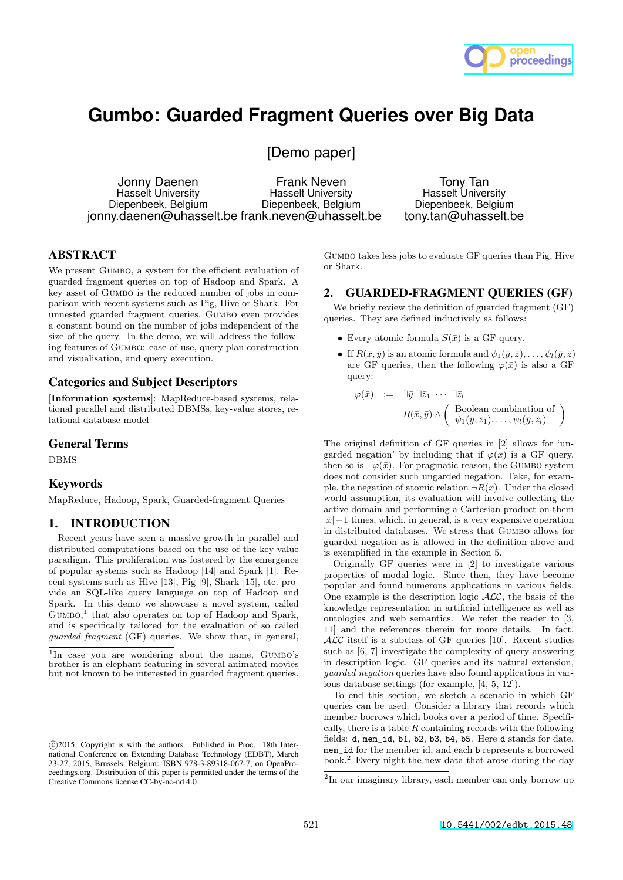

# **Gumbo: Guarded Fragment Queries over Big Data**

[Demo paper]

Jonny Daenen Hasselt University Diepenbeek, Belgium jonny.daenen@uhasselt.be frank.neven@uhasselt.be Frank Neven Hasselt University Diepenbeek, Belgium

Tony Tan Hasselt University Diepenbeek, Belgium tony.tan@uhasselt.be

# ABSTRACT

We present GUMBO, a system for the efficient evaluation of guarded fragment queries on top of Hadoop and Spark. A key asset of GUMBO is the reduced number of jobs in comparison with recent systems such as Pig, Hive or Shark. For unnested guarded fragment queries, Gumbo even provides a constant bound on the number of jobs independent of the size of the query. In the demo, we will address the following features of Gumbo: ease-of-use, query plan construction and visualisation, and query execution.

### Categories and Subject Descriptors

[Information systems]: MapReduce-based systems, relational parallel and distributed DBMSs, key-value stores, relational database model

#### General Terms

DBMS

# Keywords

MapReduce, Hadoop, Spark, Guarded-fragment Queries

## 1. INTRODUCTION

Recent years have seen a massive growth in parallel and distributed computations based on the use of the key-value paradigm. This proliferation was fostered by the emergence of popular systems such as Hadoop [14] and Spark [1]. Recent systems such as Hive [13], Pig [9], Shark [15], etc. provide an SQL-like query language on top of Hadoop and Spark. In this demo we showcase a novel system, called Gumbo, 1 that also operates on top of Hadoop and Spark, and is specifically tailored for the evaluation of so called guarded fragment (GF) queries. We show that, in general, Gumbo takes less jobs to evaluate GF queries than Pig, Hive or Shark.

#### 2. GUARDED-FRAGMENT QUERIES (GF)

We briefly review the definition of guarded fragment  $(GF)$ queries. They are defined inductively as follows:

- Every atomic formula  $S(\bar{x})$  is a GF query.
- If  $R(\bar{x}, \bar{y})$  is an atomic formula and  $\psi_1(\bar{y}, \bar{z}), \ldots, \psi_l(\bar{y}, \bar{z})$ are GF queries, then the following  $\varphi(\bar{x})$  is also a GF query:

$$
\varphi(\bar{x}) \quad := \quad \exists \bar{y} \; \exists \bar{z}_1 \; \cdots \; \exists \bar{z}_l
$$
\n
$$
R(\bar{x}, \bar{y}) \land \left( \begin{array}{c} \text{Boolean combination of} \\ \psi_1(\bar{y}, \bar{z}_1), \dots, \psi_l(\bar{y}, \bar{z}_l) \end{array} \right)
$$

The original definition of GF queries in [2] allows for 'ungarded negation' by including that if  $\varphi(\bar{x})$  is a GF query, then so is  $\neg \varphi(\bar{x})$ . For pragmatic reason, the GUMBO system does not consider such ungarded negation. Take, for example, the negation of atomic relation  $\neg R(\bar{x})$ . Under the closed world assumption, its evaluation will involve collecting the active domain and performing a Cartesian product on them  $|\bar{x}|-1$  times, which, in general, is a very expensive operation in distributed databases. We stress that Gumbo allows for guarded negation as is allowed in the definition above and is exemplified in the example in Section 5.

Originally GF queries were in [2] to investigate various properties of modal logic. Since then, they have become popular and found numerous applications in various fields. One example is the description logic  $ALC$ , the basis of the knowledge representation in artificial intelligence as well as ontologies and web semantics. We refer the reader to [3, 11] and the references therein for more details. In fact,  $\mathcal{ALC}$  itself is a subclass of GF queries [10]. Recent studies such as [6, 7] investigate the complexity of query answering in description logic. GF queries and its natural extension, guarded negation queries have also found applications in various database settings (for example, [4, 5, 12]).

To end this section, we sketch a scenario in which GF queries can be used. Consider a library that records which member borrows which books over a period of time. Specifically, there is a table  $R$  containing records with the following fields: d, mem\_id, b1, b2, b3, b4, b5. Here d stands for date, mem\_id for the member id, and each b represents a borrowed book.<sup>2</sup> Every night the new data that arose during the day

<sup>&</sup>lt;sup>1</sup>In case you are wondering about the name, GUMBO's brother is an elephant featuring in several animated movies but not known to be interested in guarded fragment queries.

c 2015, Copyright is with the authors. Published in Proc. 18th International Conference on Extending Database Technology (EDBT), March 23-27, 2015, Brussels, Belgium: ISBN 978-3-89318-067-7, on OpenProceedings.org. Distribution of this paper is permitted under the terms of the Creative Commons license CC-by-nc-nd 4.0

<sup>2</sup> In our imaginary library, each member can only borrow up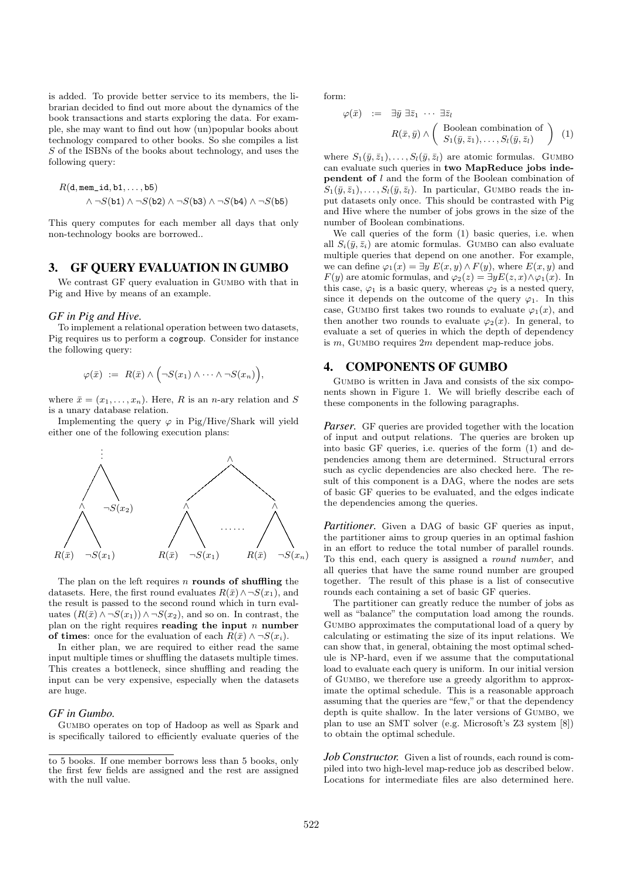is added. To provide better service to its members, the librarian decided to find out more about the dynamics of the book transactions and starts exploring the data. For example, she may want to find out how (un)popular books about technology compared to other books. So she compiles a list S of the ISBNs of the books about technology, and uses the following query:

$$
R(\texttt{d}, \texttt{mem\_id}, \texttt{b1}, \ldots, \texttt{b5})
$$

$$
\wedge \neg S(\texttt{b1}) \wedge \neg S(\texttt{b2}) \wedge \neg S(\texttt{b3}) \wedge \neg S(\texttt{b4}) \wedge \neg S(\texttt{b5})
$$

This query computes for each member all days that only non-technology books are borrowed..

#### 3. GF QUERY EVALUATION IN GUMBO

We contrast GF query evaluation in GUMBO with that in Pig and Hive by means of an example.

#### *GF in Pig and Hive.*

To implement a relational operation between two datasets, Pig requires us to perform a cogroup. Consider for instance the following query:

$$
\varphi(\bar{x}) \ := \ R(\bar{x}) \wedge \Big(\neg S(x_1) \wedge \cdots \wedge \neg S(x_n)\Big),
$$

where  $\bar{x} = (x_1, \ldots, x_n)$ . Here, R is an n-ary relation and S is a unary database relation.

Implementing the query  $\varphi$  in Pig/Hive/Shark will yield either one of the following execution plans:



The plan on the left requires n rounds of shuffling the datasets. Here, the first round evaluates  $R(\bar{x}) \wedge \neg S(x_1)$ , and the result is passed to the second round which in turn evaluates  $(R(\bar{x}) \wedge \neg S(x_1)) \wedge \neg S(x_2)$ , and so on. In contrast, the plan on the right requires reading the input  $n$  number of times: once for the evaluation of each  $R(\bar{x}) \wedge \neg S(x_i)$ .

In either plan, we are required to either read the same input multiple times or shuffling the datasets multiple times. This creates a bottleneck, since shuffling and reading the input can be very expensive, especially when the datasets are huge.

#### *GF in Gumbo.*

Gumbo operates on top of Hadoop as well as Spark and is specifically tailored to efficiently evaluate queries of the form:

$$
\varphi(\bar{x}) \quad := \quad \exists \bar{y} \; \exists \bar{z}_1 \; \cdots \; \exists \bar{z}_l
$$
\n
$$
R(\bar{x}, \bar{y}) \land \left( \begin{array}{c} \text{Boolean combination of} \\ S_1(\bar{y}, \bar{z}_1), \dots, S_l(\bar{y}, \bar{z}_l) \end{array} \right) \tag{1}
$$

where  $S_1(\bar{y}, \bar{z}_1), \ldots, S_l(\bar{y}, \bar{z}_l)$  are atomic formulas. GUMBO can evaluate such queries in two MapReduce jobs independent of l and the form of the Boolean combination of  $S_1(\bar{y}, \bar{z}_1), \ldots, S_l(\bar{y}, \bar{z}_l)$ . In particular, GUMBO reads the input datasets only once. This should be contrasted with Pig and Hive where the number of jobs grows in the size of the number of Boolean combinations.

We call queries of the form (1) basic queries, i.e. when all  $S_i(\bar{y}, \bar{z}_i)$  are atomic formulas. GUMBO can also evaluate multiple queries that depend on one another. For example, we can define  $\varphi_1(x) = \exists y E(x, y) \wedge F(y)$ , where  $E(x, y)$  and  $F(y)$  are atomic formulas, and  $\varphi_2(z) = \exists y E(z, x) \wedge \varphi_1(x)$ . In this case,  $\varphi_1$  is a basic query, whereas  $\varphi_2$  is a nested query, since it depends on the outcome of the query  $\varphi_1$ . In this case, GUMBO first takes two rounds to evaluate  $\varphi_1(x)$ , and then another two rounds to evaluate  $\varphi_2(x)$ . In general, to evaluate a set of queries in which the depth of dependency is  $m$ , GUMBO requires  $2m$  dependent map-reduce jobs.

#### 4. COMPONENTS OF GUMBO

Gumbo is written in Java and consists of the six components shown in Figure 1. We will briefly describe each of these components in the following paragraphs.

*Parser.* GF queries are provided together with the location of input and output relations. The queries are broken up into basic GF queries, i.e. queries of the form (1) and dependencies among them are determined. Structural errors such as cyclic dependencies are also checked here. The result of this component is a DAG, where the nodes are sets of basic GF queries to be evaluated, and the edges indicate the dependencies among the queries.

*Partitioner.* Given a DAG of basic GF queries as input, the partitioner aims to group queries in an optimal fashion in an effort to reduce the total number of parallel rounds. To this end, each query is assigned a round number, and all queries that have the same round number are grouped together. The result of this phase is a list of consecutive rounds each containing a set of basic GF queries.

The partitioner can greatly reduce the number of jobs as well as "balance" the computation load among the rounds. GUMBO approximates the computational load of a query by calculating or estimating the size of its input relations. We can show that, in general, obtaining the most optimal schedule is NP-hard, even if we assume that the computational load to evaluate each query is uniform. In our initial version of Gumbo, we therefore use a greedy algorithm to approximate the optimal schedule. This is a reasonable approach assuming that the queries are "few," or that the dependency depth is quite shallow. In the later versions of Gumbo, we plan to use an SMT solver (e.g. Microsoft's Z3 system [8]) to obtain the optimal schedule.

Job Constructor. Given a list of rounds, each round is compiled into two high-level map-reduce job as described below. Locations for intermediate files are also determined here.

to 5 books. If one member borrows less than 5 books, only the first few fields are assigned and the rest are assigned with the null value.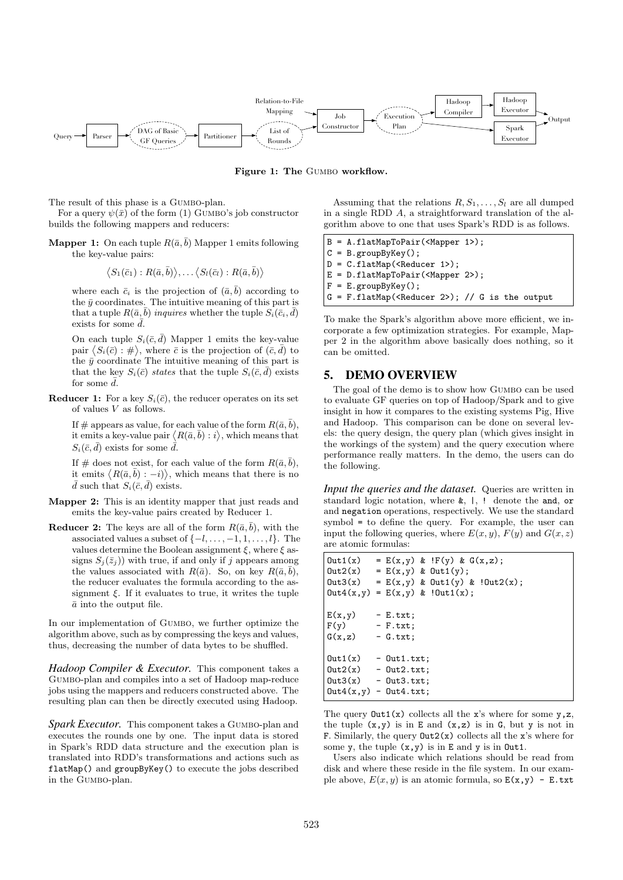

Figure 1: The GUMBO workflow.

The result of this phase is a GUMBO-plan.

For a query  $\psi(\bar{x})$  of the form (1) GUMBO's job constructor builds the following mappers and reducers:

**Mapper 1:** On each tuple  $R(\bar{a}, \bar{b})$  Mapper 1 emits following the key-value pairs:

$$
\langle S_1(\bar{c}_1) : R(\bar{a}, \bar{b}) \rangle, \ldots \langle S_l(\bar{c}_l) : R(\bar{a}, \bar{b}) \rangle
$$

where each  $\bar{c}_i$  is the projection of  $(\bar{a}, \bar{b})$  according to the  $\bar{y}$  coordinates. The intuitive meaning of this part is that a tuple  $R(\bar{a}, \bar{b})$  inquires whether the tuple  $S_i(\bar{c}_i, \bar{d})$ exists for some  $\bar{d}$ .

On each tuple  $S_i(\bar{c}, \bar{d})$  Mapper 1 emits the key-value pair  $\langle S_i(\bar{c}) : \# \rangle$ , where  $\bar{c}$  is the projection of  $(\bar{c}, \bar{d})$  to the  $\bar{y}$  coordinate The intuitive meaning of this part is that the key  $S_i(\bar{c})$  states that the tuple  $S_i(\bar{c}, \bar{d})$  exists for some  $\bar{d}$ .

**Reducer 1:** For a key  $S_i(\bar{c})$ , the reducer operates on its set of values V as follows.

If # appears as value, for each value of the form  $R(\bar{a}, \bar{b})$ , it emits a key-value pair  $\langle R(\bar{a}, \bar{b}) : i \rangle$ , which means that  $S_i(\bar{c}, \bar{d})$  exists for some  $\bar{d}$ .

If # does not exist, for each value of the form  $R(\bar{a}, \bar{b})$ , it emits  $\langle R(\bar{a}, \bar{b}) : -i \rangle$ , which means that there is no  $\bar{d}$  such that  $S_i(\bar{c}, \bar{d})$  exists.

- Mapper 2: This is an identity mapper that just reads and emits the key-value pairs created by Reducer 1.
- **Reducer 2:** The keys are all of the form  $R(\bar{a}, \bar{b})$ , with the associated values a subset of  $\{-l, \ldots, -1, 1, \ldots, l\}$ . The values determine the Boolean assignment  $\xi$ , where  $\xi$  assigns  $S_i(\bar{z}_i)$  with true, if and only if j appears among the values associated with  $R(\bar{a})$ . So, on key  $R(\bar{a}, \bar{b})$ , the reducer evaluates the formula according to the assignment  $\xi$ . If it evaluates to true, it writes the tuple  $\bar{a}$  into the output file.

In our implementation of Gumbo, we further optimize the algorithm above, such as by compressing the keys and values, thus, decreasing the number of data bytes to be shuffled.

*Hadoop Compiler & Executor.* This component takes a Gumbo-plan and compiles into a set of Hadoop map-reduce jobs using the mappers and reducers constructed above. The resulting plan can then be directly executed using Hadoop.

*Spark Executor.* This component takes a Gumbo-plan and executes the rounds one by one. The input data is stored in Spark's RDD data structure and the execution plan is translated into RDD's transformations and actions such as flatMap() and groupByKey() to execute the jobs described in the Gumbo-plan.

Assuming that the relations  $R, S_1, \ldots, S_l$  are all dumped in a single RDD A, a straightforward translation of the algorithm above to one that uses Spark's RDD is as follows.

```
B = A.flatMapToPair(<Mapper 1>);
C = B.groupByKey();
D = C.flatMap(<Reducer 1>);
E = D.flatMapToPair(<Mapper 2>);
F = E.groupByKey();
G = F.flatMap(<Reducer 2>); // G is the output
```
To make the Spark's algorithm above more efficient, we incorporate a few optimization strategies. For example, Mapper 2 in the algorithm above basically does nothing, so it can be omitted.

#### 5. DEMO OVERVIEW

The goal of the demo is to show how Gumbo can be used to evaluate GF queries on top of Hadoop/Spark and to give insight in how it compares to the existing systems Pig, Hive and Hadoop. This comparison can be done on several levels: the query design, the query plan (which gives insight in the workings of the system) and the query execution where performance really matters. In the demo, the users can do the following.

*Input the queries and the dataset.* Queries are written in standard logic notation, where &, |, ! denote the and, or and negation operations, respectively. We use the standard symbol = to define the query. For example, the user can input the following queries, where  $E(x, y)$ ,  $F(y)$  and  $G(x, z)$ are atomic formulas:

```
Out1(x) = E(x,y) & F(y) & G(x,z);Out2(x) = E(x,y) & Out1(y);
0ut3(x) = E(x,y) & 0ut1(y) & !0ut2(x);Out4(x,y) = E(x,y) & !Out1(x);E(x,y) - E.txt;<br>F(v) - F.txt;
            -F.txt;G(x, z) - G.txt;
0ut1(x) - 0ut1.txt;<br>0ut2(x) - 0ut2.txt;Out2(x) - Out2.txt;<br>Out3(x) - Out3.txt;0ut3.txt;
Out4(x,y) - Out4.txt;
```
The query  $Out1(x)$  collects all the x's where for some  $y, z$ , the tuple  $(x,y)$  is in E and  $(x,z)$  is in G, but y is not in F. Similarly, the query  $Out2(x)$  collects all the x's where for some  $y$ , the tuple  $(x, y)$  is in E and  $y$  is in Out1.

Users also indicate which relations should be read from disk and where these reside in the file system. In our example above,  $E(x, y)$  is an atomic formula, so  $E(x, y)$  - E.txt